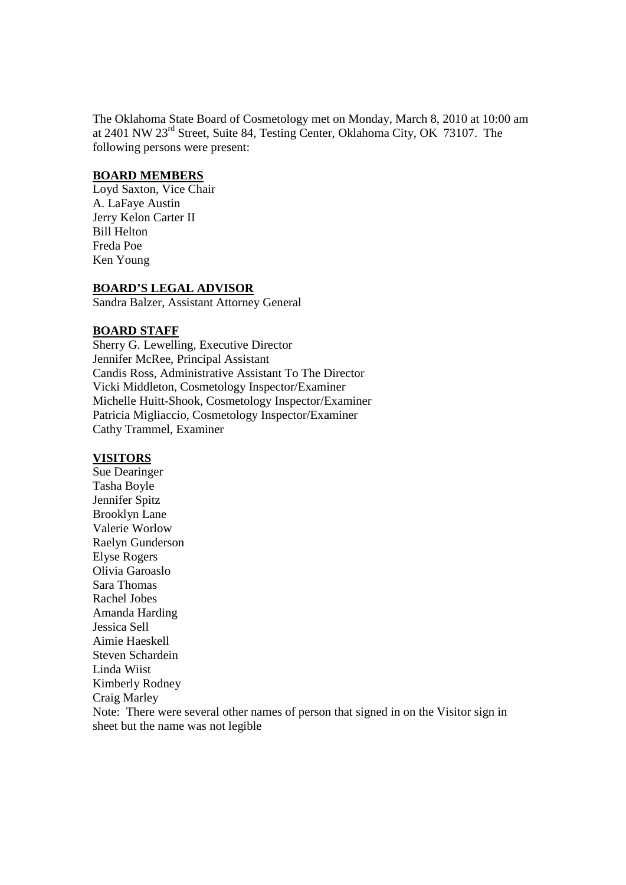The Oklahoma State Board of Cosmetology met on Monday, March 8, 2010 at 10:00 am at 2401 NW 23rd Street, Suite 84, Testing Center, Oklahoma City, OK 73107. The following persons were present:

#### **BOARD MEMBERS**

Loyd Saxton, Vice Chair A. LaFaye Austin Jerry Kelon Carter II Bill Helton Freda Poe Ken Young

#### **BOARD'S LEGAL ADVISOR**

Sandra Balzer, Assistant Attorney General

#### **BOARD STAFF**

Sherry G. Lewelling, Executive Director Jennifer McRee, Principal Assistant Candis Ross, Administrative Assistant To The Director Vicki Middleton, Cosmetology Inspector/Examiner Michelle Huitt-Shook, Cosmetology Inspector/Examiner Patricia Migliaccio, Cosmetology Inspector/Examiner Cathy Trammel, Examiner

#### **VISITORS**

Sue Dearinger Tasha Boyle Jennifer Spitz Brooklyn Lane Valerie Worlow Raelyn Gunderson Elyse Rogers Olivia Garoaslo Sara Thomas Rachel Jobes Amanda Harding Jessica Sell Aimie Haeskell Steven Schardein Linda Wiist Kimberly Rodney Craig Marley Note: There were several other names of person that signed in on the Visitor sign in sheet but the name was not legible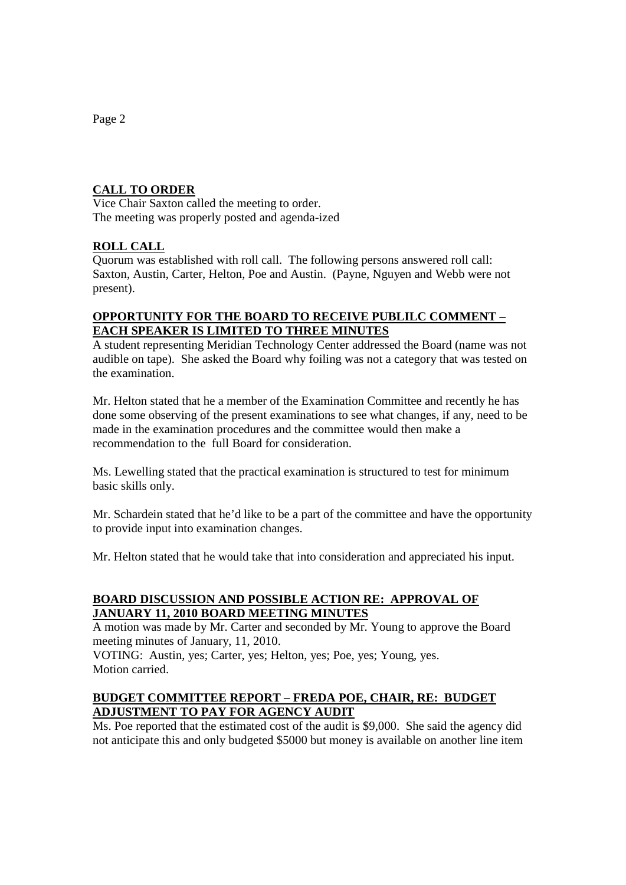## **CALL TO ORDER**

Vice Chair Saxton called the meeting to order. The meeting was properly posted and agenda-ized

## **ROLL CALL**

Quorum was established with roll call. The following persons answered roll call: Saxton, Austin, Carter, Helton, Poe and Austin. (Payne, Nguyen and Webb were not present).

### **OPPORTUNITY FOR THE BOARD TO RECEIVE PUBLILC COMMENT – EACH SPEAKER IS LIMITED TO THREE MINUTES**

A student representing Meridian Technology Center addressed the Board (name was not audible on tape). She asked the Board why foiling was not a category that was tested on the examination.

Mr. Helton stated that he a member of the Examination Committee and recently he has done some observing of the present examinations to see what changes, if any, need to be made in the examination procedures and the committee would then make a recommendation to the full Board for consideration.

Ms. Lewelling stated that the practical examination is structured to test for minimum basic skills only.

Mr. Schardein stated that he'd like to be a part of the committee and have the opportunity to provide input into examination changes.

Mr. Helton stated that he would take that into consideration and appreciated his input.

## **BOARD DISCUSSION AND POSSIBLE ACTION RE: APPROVAL OF JANUARY 11, 2010 BOARD MEETING MINUTES**

A motion was made by Mr. Carter and seconded by Mr. Young to approve the Board meeting minutes of January, 11, 2010.

VOTING: Austin, yes; Carter, yes; Helton, yes; Poe, yes; Young, yes. Motion carried.

### **BUDGET COMMITTEE REPORT – FREDA POE, CHAIR, RE: BUDGET ADJUSTMENT TO PAY FOR AGENCY AUDIT**

Ms. Poe reported that the estimated cost of the audit is \$9,000. She said the agency did not anticipate this and only budgeted \$5000 but money is available on another line item

Page 2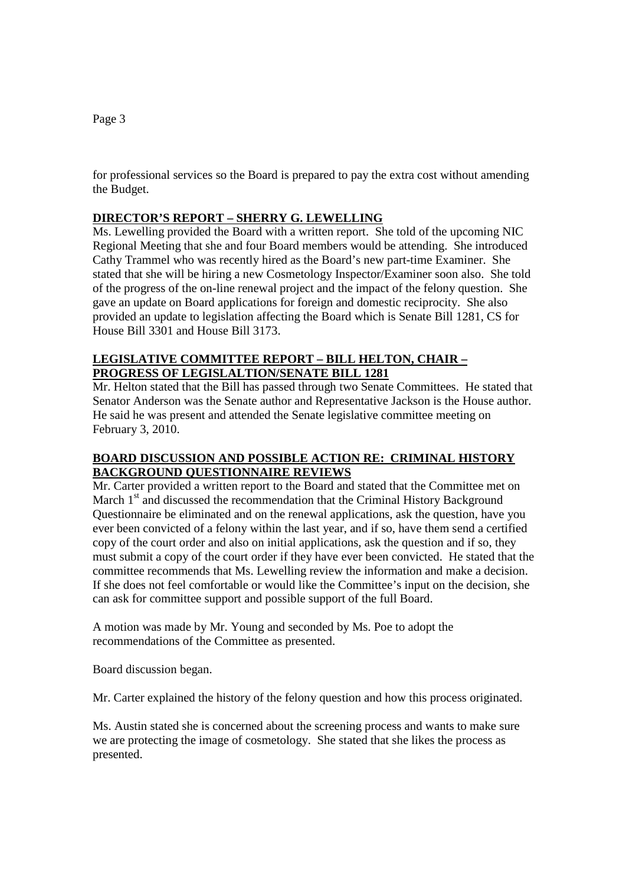for professional services so the Board is prepared to pay the extra cost without amending the Budget.

### **DIRECTOR'S REPORT – SHERRY G. LEWELLING**

Ms. Lewelling provided the Board with a written report. She told of the upcoming NIC Regional Meeting that she and four Board members would be attending. She introduced Cathy Trammel who was recently hired as the Board's new part-time Examiner. She stated that she will be hiring a new Cosmetology Inspector/Examiner soon also. She told of the progress of the on-line renewal project and the impact of the felony question. She gave an update on Board applications for foreign and domestic reciprocity. She also provided an update to legislation affecting the Board which is Senate Bill 1281, CS for House Bill 3301 and House Bill 3173.

# **LEGISLATIVE COMMITTEE REPORT – BILL HELTON, CHAIR – PROGRESS OF LEGISLALTION/SENATE BILL 1281**

Mr. Helton stated that the Bill has passed through two Senate Committees. He stated that Senator Anderson was the Senate author and Representative Jackson is the House author. He said he was present and attended the Senate legislative committee meeting on February 3, 2010.

## **BOARD DISCUSSION AND POSSIBLE ACTION RE: CRIMINAL HISTORY BACKGROUND QUESTIONNAIRE REVIEWS**

Mr. Carter provided a written report to the Board and stated that the Committee met on March  $1<sup>st</sup>$  and discussed the recommendation that the Criminal History Background Questionnaire be eliminated and on the renewal applications, ask the question, have you ever been convicted of a felony within the last year, and if so, have them send a certified copy of the court order and also on initial applications, ask the question and if so, they must submit a copy of the court order if they have ever been convicted. He stated that the committee recommends that Ms. Lewelling review the information and make a decision. If she does not feel comfortable or would like the Committee's input on the decision, she can ask for committee support and possible support of the full Board.

A motion was made by Mr. Young and seconded by Ms. Poe to adopt the recommendations of the Committee as presented.

Board discussion began.

Mr. Carter explained the history of the felony question and how this process originated.

Ms. Austin stated she is concerned about the screening process and wants to make sure we are protecting the image of cosmetology. She stated that she likes the process as presented.

#### Page 3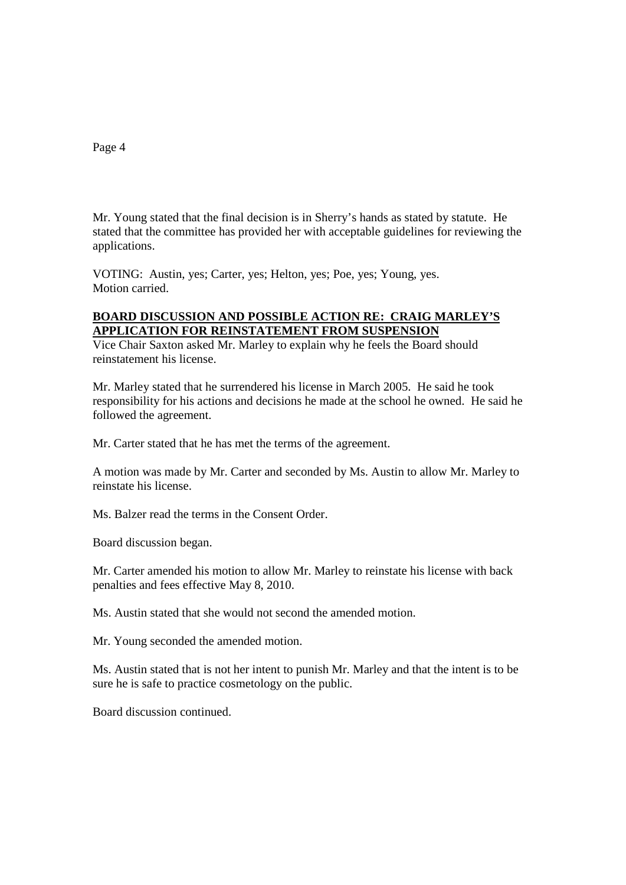Page 4

Mr. Young stated that the final decision is in Sherry's hands as stated by statute. He stated that the committee has provided her with acceptable guidelines for reviewing the applications.

VOTING: Austin, yes; Carter, yes; Helton, yes; Poe, yes; Young, yes. Motion carried.

### **BOARD DISCUSSION AND POSSIBLE ACTION RE: CRAIG MARLEY'S APPLICATION FOR REINSTATEMENT FROM SUSPENSION**

Vice Chair Saxton asked Mr. Marley to explain why he feels the Board should reinstatement his license.

Mr. Marley stated that he surrendered his license in March 2005. He said he took responsibility for his actions and decisions he made at the school he owned. He said he followed the agreement.

Mr. Carter stated that he has met the terms of the agreement.

A motion was made by Mr. Carter and seconded by Ms. Austin to allow Mr. Marley to reinstate his license.

Ms. Balzer read the terms in the Consent Order.

Board discussion began.

Mr. Carter amended his motion to allow Mr. Marley to reinstate his license with back penalties and fees effective May 8, 2010.

Ms. Austin stated that she would not second the amended motion.

Mr. Young seconded the amended motion.

Ms. Austin stated that is not her intent to punish Mr. Marley and that the intent is to be sure he is safe to practice cosmetology on the public.

Board discussion continued.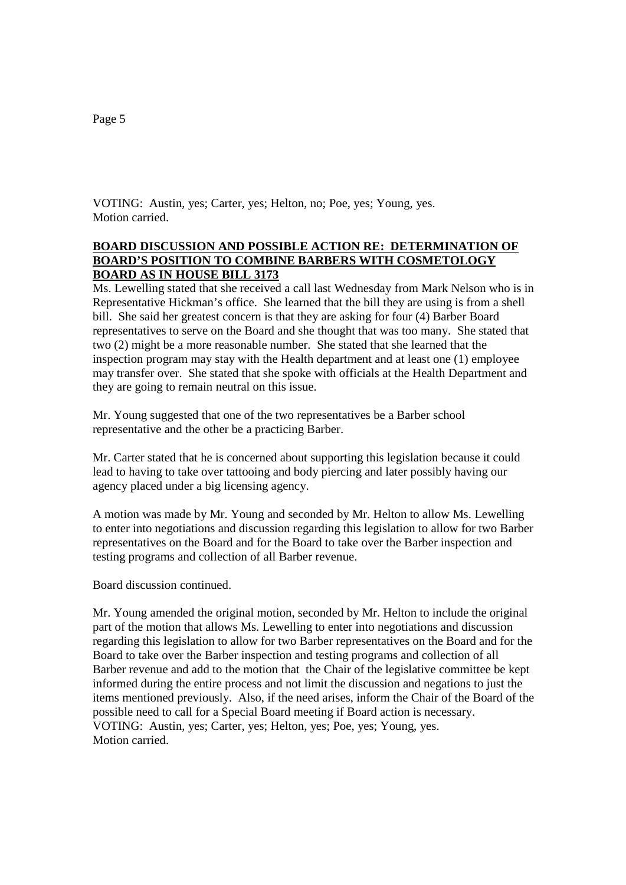VOTING: Austin, yes; Carter, yes; Helton, no; Poe, yes; Young, yes. Motion carried.

#### **BOARD DISCUSSION AND POSSIBLE ACTION RE: DETERMINATION OF BOARD'S POSITION TO COMBINE BARBERS WITH COSMETOLOGY BOARD AS IN HOUSE BILL 3173**

Ms. Lewelling stated that she received a call last Wednesday from Mark Nelson who is in Representative Hickman's office. She learned that the bill they are using is from a shell bill. She said her greatest concern is that they are asking for four (4) Barber Board representatives to serve on the Board and she thought that was too many. She stated that two (2) might be a more reasonable number. She stated that she learned that the inspection program may stay with the Health department and at least one (1) employee may transfer over. She stated that she spoke with officials at the Health Department and they are going to remain neutral on this issue.

Mr. Young suggested that one of the two representatives be a Barber school representative and the other be a practicing Barber.

Mr. Carter stated that he is concerned about supporting this legislation because it could lead to having to take over tattooing and body piercing and later possibly having our agency placed under a big licensing agency.

A motion was made by Mr. Young and seconded by Mr. Helton to allow Ms. Lewelling to enter into negotiations and discussion regarding this legislation to allow for two Barber representatives on the Board and for the Board to take over the Barber inspection and testing programs and collection of all Barber revenue.

Board discussion continued.

Mr. Young amended the original motion, seconded by Mr. Helton to include the original part of the motion that allows Ms. Lewelling to enter into negotiations and discussion regarding this legislation to allow for two Barber representatives on the Board and for the Board to take over the Barber inspection and testing programs and collection of all Barber revenue and add to the motion that the Chair of the legislative committee be kept informed during the entire process and not limit the discussion and negations to just the items mentioned previously. Also, if the need arises, inform the Chair of the Board of the possible need to call for a Special Board meeting if Board action is necessary. VOTING: Austin, yes; Carter, yes; Helton, yes; Poe, yes; Young, yes. Motion carried.